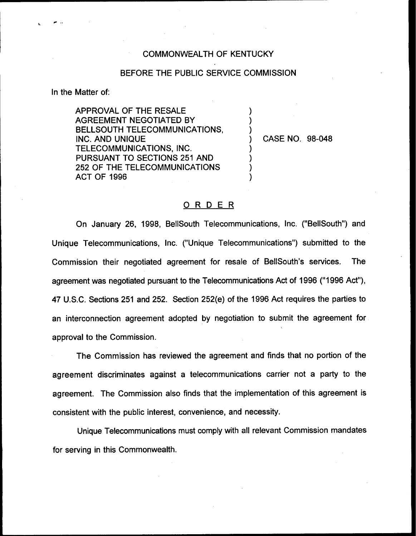## COMMONWEALTH OF KENTUCKY

## BEFORE THE PUBLIC SERVICE COMMISSION

) ) )

) ) ) )

In the Matter of:

APPROVAL OF THE RESALE AGREEMENT NEGOTIATED BY BELLSOUTH TELECOMMUNICATIONS, INC. AND UNIQUE TELECOMMUNICATIONS, INC. PURSUANT TO SECTIONS 251 AND 252 OF THE TELECOMMUNICATIONS ACT OF 1996

) CASE NO. 98-048

## ORDER

On January 26, 1998, BellSouth Telecommunications, Inc. ("BellSouth") and Unique Telecommunications, Inc. ("Unique Telecommunications") submitted to the Commission their negotiated agreement for resale of BellSouth's services. The agreement was negotiated pursuant to the Telecommunications Act of 1996 ("1996 Act"), 47 U.S.C. Sections 251 and 252. Section 252(e) of the 1996 Act requires the parties to an interconnection agreement adopted by negotiation to submit the agreement for approval to the Commission.

The Commission has reviewed the agreement and finds that no portion of the agreement discriminates against a telecommunications carrier not a party to the agreement. The Commission also finds that the implementation of this agreement is consistent with the public interest, convenience, and necessity.

Unique Telecommunications must comply with all relevant Commission mandates for serving in this Commonwealth.